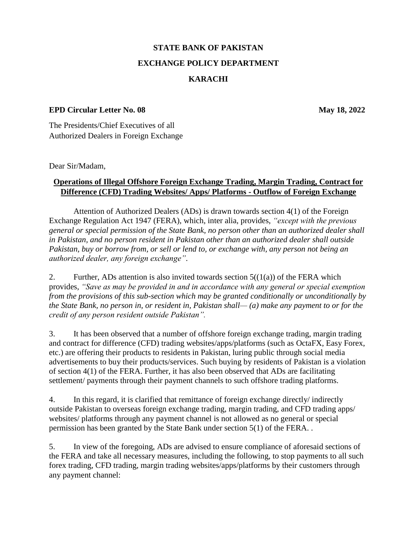## **STATE BANK OF PAKISTAN EXCHANGE POLICY DEPARTMENT KARACHI**

## **EPD Circular Letter No. 08 May 18, 2022**

The Presidents/Chief Executives of all Authorized Dealers in Foreign Exchange

Dear Sir/Madam,

## **Operations of Illegal Offshore Foreign Exchange Trading, Margin Trading, Contract for Difference (CFD) Trading Websites/ Apps/ Platforms - Outflow of Foreign Exchange**

Attention of Authorized Dealers (ADs) is drawn towards section 4(1) of the Foreign Exchange Regulation Act 1947 (FERA), which, inter alia, provides, *"except with the previous general or special permission of the State Bank, no person other than an authorized dealer shall in Pakistan, and no person resident in Pakistan other than an authorized dealer shall outside Pakistan, buy or borrow from, or sell or lend to, or exchange with, any person not being an authorized dealer, any foreign exchange"*.

2. Further, ADs attention is also invited towards section  $5((1(a))$  of the FERA which provides, *"Save as may be provided in and in accordance with any general or special exemption from the provisions of this sub-section which may be granted conditionally or unconditionally by the State Bank, no person in, or resident in, Pakistan shall— (a) make any payment to or for the credit of any person resident outside Pakistan".*

3. It has been observed that a number of offshore foreign exchange trading, margin trading and contract for difference (CFD) trading websites/apps/platforms (such as OctaFX, Easy Forex, etc.) are offering their products to residents in Pakistan, luring public through social media advertisements to buy their products/services. Such buying by residents of Pakistan is a violation of section 4(1) of the FERA. Further, it has also been observed that ADs are facilitating settlement/ payments through their payment channels to such offshore trading platforms.

4. In this regard, it is clarified that remittance of foreign exchange directly/ indirectly outside Pakistan to overseas foreign exchange trading, margin trading, and CFD trading apps/ websites/ platforms through any payment channel is not allowed as no general or special permission has been granted by the State Bank under section 5(1) of the FERA. .

5. In view of the foregoing, ADs are advised to ensure compliance of aforesaid sections of the FERA and take all necessary measures, including the following, to stop payments to all such forex trading, CFD trading, margin trading websites/apps/platforms by their customers through any payment channel: